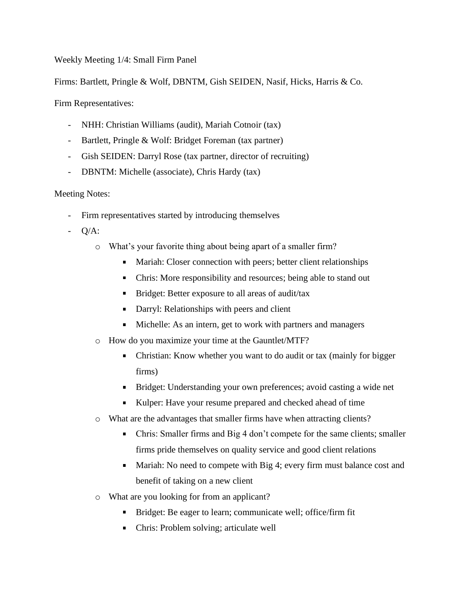## Weekly Meeting 1/4: Small Firm Panel

Firms: Bartlett, Pringle & Wolf, DBNTM, Gish SEIDEN, Nasif, Hicks, Harris & Co.

Firm Representatives:

- NHH: Christian Williams (audit), Mariah Cotnoir (tax)
- Bartlett, Pringle & Wolf: Bridget Foreman (tax partner)
- Gish SEIDEN: Darryl Rose (tax partner, director of recruiting)
- DBNTM: Michelle (associate), Chris Hardy (tax)

## Meeting Notes:

- Firm representatives started by introducing themselves
- Q/A:
	- o What's your favorite thing about being apart of a smaller firm?
		- Mariah: Closer connection with peers; better client relationships
		- Chris: More responsibility and resources; being able to stand out
		- Bridget: Better exposure to all areas of audit/tax
		- **Darryl: Relationships with peers and client**
		- $\mathbf{r}$ Michelle: As an intern, get to work with partners and managers
	- o How do you maximize your time at the Gauntlet/MTF?
		- $\blacksquare$ Christian: Know whether you want to do audit or tax (mainly for bigger firms)
		- Bridget: Understanding your own preferences; avoid casting a wide net
		- Kulper: Have your resume prepared and checked ahead of time
	- o What are the advantages that smaller firms have when attracting clients?
		- Chris: Smaller firms and Big 4 don't compete for the same clients; smaller  $\blacksquare$ firms pride themselves on quality service and good client relations
		- Mariah: No need to compete with Big 4; every firm must balance cost and benefit of taking on a new client
	- o What are you looking for from an applicant?
		- Bridget: Be eager to learn; communicate well; office/firm fit
		- Chris: Problem solving; articulate well